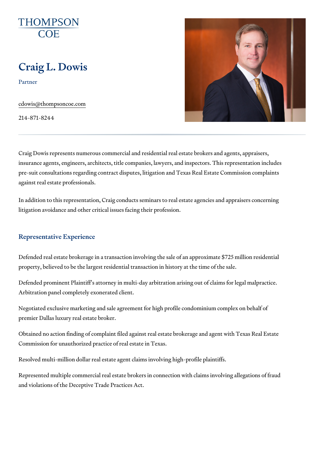# Craig L. Dowis

Partner

[cdowis@thompso](mailto:cdowis@thompsoncoe.com)ncoe.com

214-871-8244

Craig Dowis represents numerous commercial and residential real estate b insurance agents, engineers, architects, title companies, lawyers, and insp pre-suit consultations regarding contract disputes, litigation and Texas Re against real estate professionals.

In addition to this representation, Craig conducts seminars to real estate a litigation avoidance and other critical issues facing their profession.

### Representative Experience

Defended real estate brokerage in a transaction involving the sale of an approximate  $325$ property, believed to be the largest residential transaction in history at th

Defended prominent Plaintiff s attorney in multi-day arbitration arising out Arbitration panel completely exonerated client.

Negotiated exclusive marketing and sale agreement for high profile condon premier Dallas luxury real estate broker.

Obtained no action finding of complaint filed against real estate brokerage Commission for unauthorized practice of real estate in Texas.

Resolved multi-million dollar real estate agent claims involving high-profil

Represented multiple commercial real estate brokers in connection with cla and violations of the Deceptive Trade Practices Act.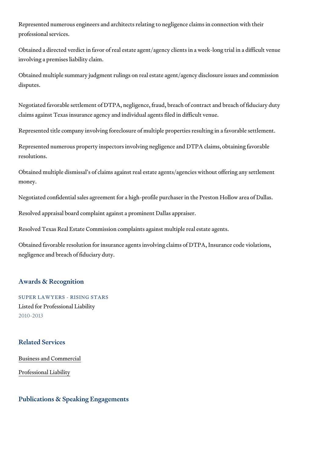Represented numerous engineers and architects relating to negligence clai professional services.

Obtained a directed verdict in favor of real estate agent/agency clients in involving a premises liability claim.

Obtained multiple summary judgment rulings on real estate agent/agency d disputes.

Negotiated favorable settlement of DTPA, negligence, fraud, breach of con claims against Texas insurance agency and individual agents filed in diffic

Represented title company involving foreclosure of multiple properties res

Represented numerous property inspectors involving negligence and DTPA resolutions.

Obtained multiple dismissal s of claims against real estate agents/agencie money.

Negotiated confidential sales agreement for a high-profile purchaser in the

Resolved appraisal board complaint against a prominent Dallas appraiser.

Resolved Texas Real Estate Commission complaints against multiple real e

Obtained favorable resolution for insurance agents involving claims of DTF negligence and breach of fiduciary duty.

### Awards & Recognition

SUPER LAWYERS - RISING STARS Listed for Professional Liability 2010-2013

### Related Services

[Business and C](https://www.thompsoncoe.com/people/craig-l-dowis/)ommercial

[Professional](https://www.thompsoncoe.com/people/craig-l-dowis/) Liability

Publications & Speaking Engagements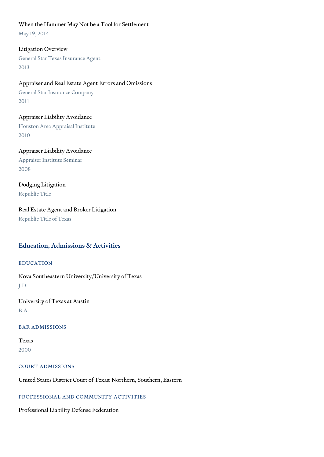#### [When the Hammer May Not be a](https://www.thompsoncoe.com/resources/publications/when-the-hammer-may-not-be-a-tool-for-settlement/) Tool for Settlement

May 19, 2014

Litigation Overview General Star Texas Insurance Agent 2013

Appraiser and Real Estate Agent Errors and Omissions General Star Insurance Company 2011

Appraiser Liability Avoidance Houston Area Appraisal Institute 2010

Appraiser Liability Avoidance Appraiser Institute Seminar 2008

Dodging Litigation Republic Title

Real Estate Agent and Broker Litigation Republic Title of Texas

# Education, Admissions & Activities

### EDUCATION

Nova Southeastern University/University of Texas J.D.

University of Texas at Austin B.A.

### BAR ADMISSIONS

Texas 2000

COURT ADMISSIONS

United States District Court of Texas: Northern, Southern, Eastern

#### PROFESSIONAL AND COMMUNITY ACTIVITIES

Professional Liability Defense Federation